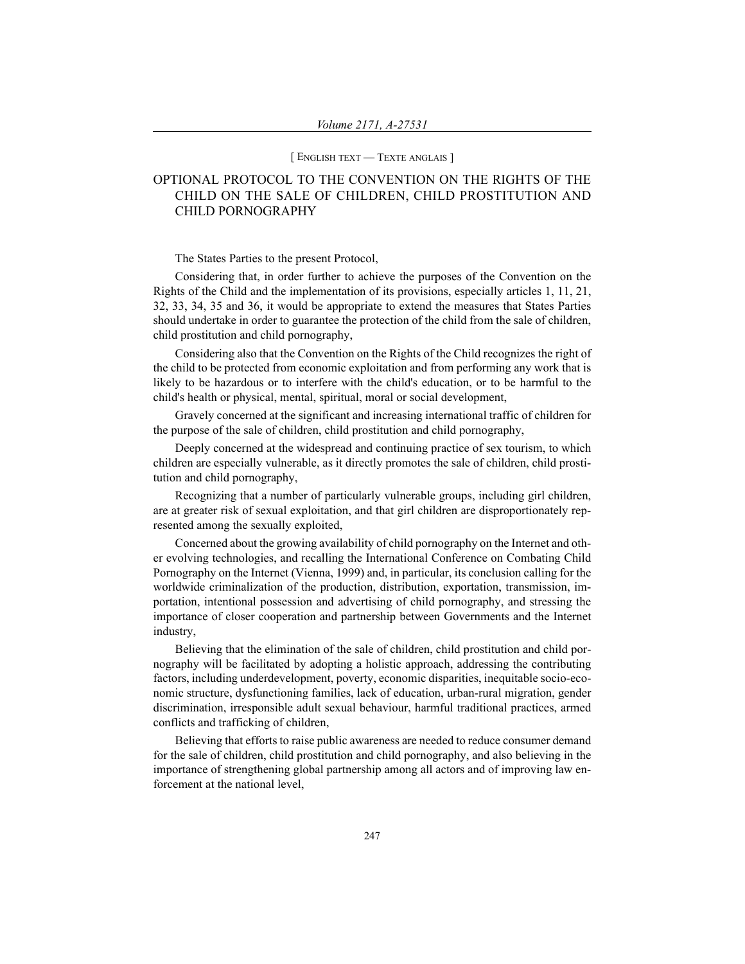#### [ ENGLISH TEXT — TEXTE ANGLAIS ]

# OPTIONAL PROTOCOL TO THE CONVENTION ON THE RIGHTS OF THE CHILD ON THE SALE OF CHILDREN, CHILD PROSTITUTION AND CHILD PORNOGRAPHY

The States Parties to the present Protocol,

Considering that, in order further to achieve the purposes of the Convention on the Rights of the Child and the implementation of its provisions, especially articles 1, 11, 21, 32, 33, 34, 35 and 36, it would be appropriate to extend the measures that States Parties should undertake in order to guarantee the protection of the child from the sale of children, child prostitution and child pornography,

Considering also that the Convention on the Rights of the Child recognizes the right of the child to be protected from economic exploitation and from performing any work that is likely to be hazardous or to interfere with the child's education, or to be harmful to the child's health or physical, mental, spiritual, moral or social development,

Gravely concerned at the significant and increasing international traffic of children for the purpose of the sale of children, child prostitution and child pornography,

Deeply concerned at the widespread and continuing practice of sex tourism, to which children are especially vulnerable, as it directly promotes the sale of children, child prostitution and child pornography,

Recognizing that a number of particularly vulnerable groups, including girl children, are at greater risk of sexual exploitation, and that girl children are disproportionately represented among the sexually exploited,

Concerned about the growing availability of child pornography on the Internet and other evolving technologies, and recalling the International Conference on Combating Child Pornography on the Internet (Vienna, 1999) and, in particular, its conclusion calling for the worldwide criminalization of the production, distribution, exportation, transmission, importation, intentional possession and advertising of child pornography, and stressing the importance of closer cooperation and partnership between Governments and the Internet industry,

Believing that the elimination of the sale of children, child prostitution and child pornography will be facilitated by adopting a holistic approach, addressing the contributing factors, including underdevelopment, poverty, economic disparities, inequitable socio-economic structure, dysfunctioning families, lack of education, urban-rural migration, gender discrimination, irresponsible adult sexual behaviour, harmful traditional practices, armed conflicts and trafficking of children,

Believing that efforts to raise public awareness are needed to reduce consumer demand for the sale of children, child prostitution and child pornography, and also believing in the importance of strengthening global partnership among all actors and of improving law enforcement at the national level,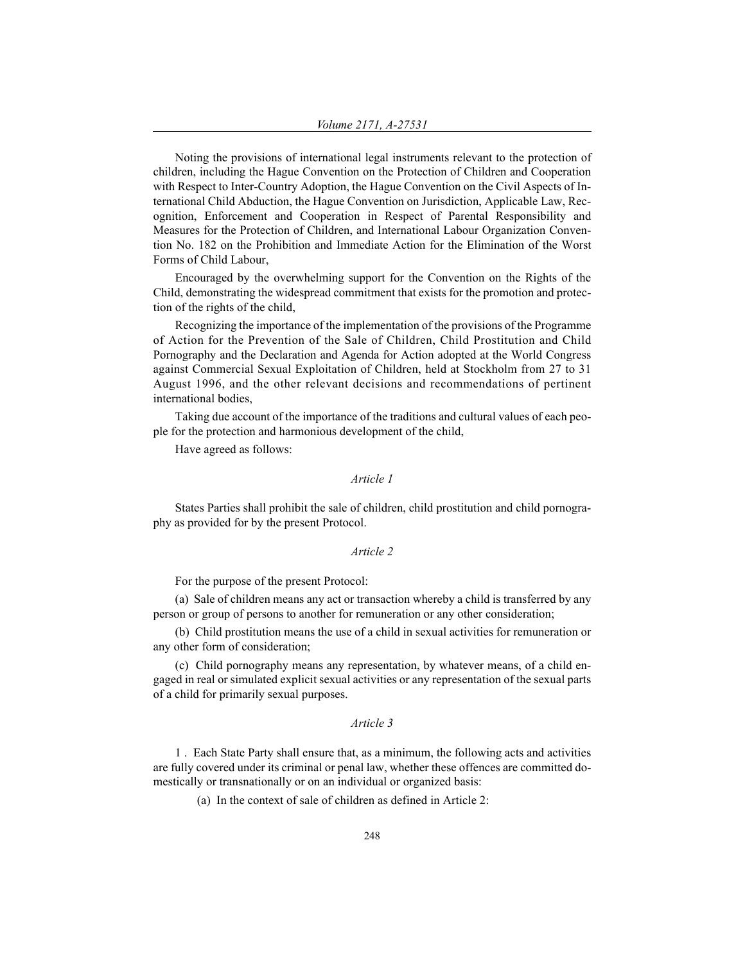Noting the provisions of international legal instruments relevant to the protection of children, including the Hague Convention on the Protection of Children and Cooperation with Respect to Inter-Country Adoption, the Hague Convention on the Civil Aspects of International Child Abduction, the Hague Convention on Jurisdiction, Applicable Law, Recognition, Enforcement and Cooperation in Respect of Parental Responsibility and Measures for the Protection of Children, and International Labour Organization Convention No. 182 on the Prohibition and Immediate Action for the Elimination of the Worst Forms of Child Labour,

Encouraged by the overwhelming support for the Convention on the Rights of the Child, demonstrating the widespread commitment that exists for the promotion and protection of the rights of the child,

Recognizing the importance of the implementation of the provisions of the Programme of Action for the Prevention of the Sale of Children, Child Prostitution and Child Pornography and the Declaration and Agenda for Action adopted at the World Congress against Commercial Sexual Exploitation of Children, held at Stockholm from 27 to 31 August 1996, and the other relevant decisions and recommendations of pertinent international bodies,

Taking due account of the importance of the traditions and cultural values of each people for the protection and harmonious development of the child,

Have agreed as follows:

# *Article 1*

States Parties shall prohibit the sale of children, child prostitution and child pornography as provided for by the present Protocol.

#### *Article 2*

For the purpose of the present Protocol:

(a) Sale of children means any act or transaction whereby a child is transferred by any person or group of persons to another for remuneration or any other consideration;

(b) Child prostitution means the use of a child in sexual activities for remuneration or any other form of consideration;

(c) Child pornography means any representation, by whatever means, of a child engaged in real or simulated explicit sexual activities or any representation of the sexual parts of a child for primarily sexual purposes.

#### *Article 3*

1 . Each State Party shall ensure that, as a minimum, the following acts and activities are fully covered under its criminal or penal law, whether these offences are committed domestically or transnationally or on an individual or organized basis:

(a) In the context of sale of children as defined in Article 2: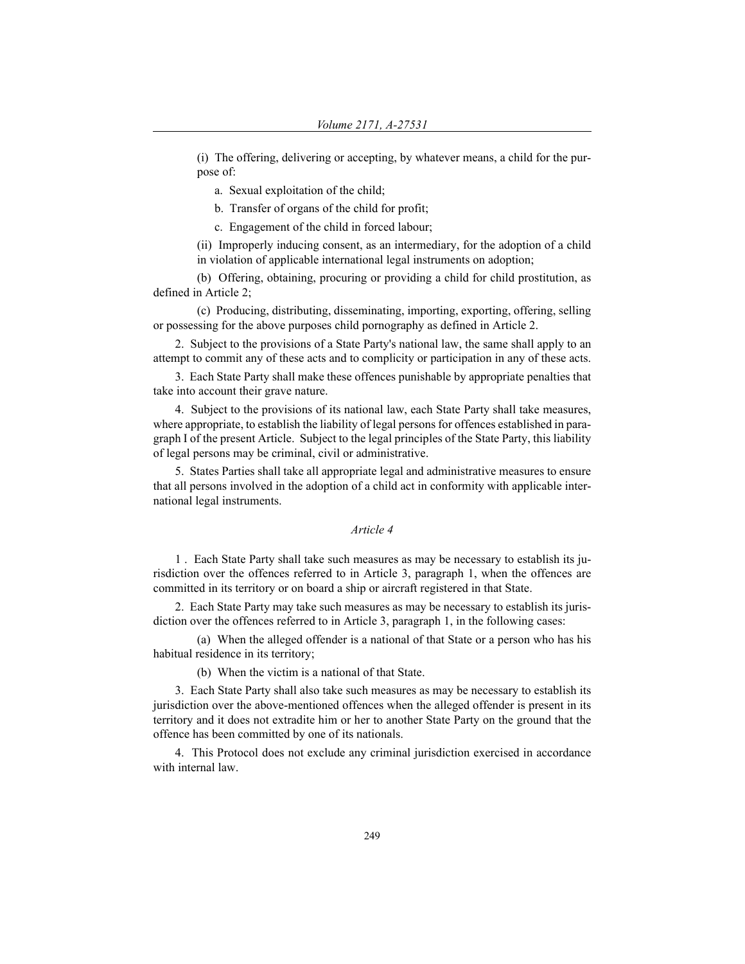(i) The offering, delivering or accepting, by whatever means, a child for the purpose of:

a. Sexual exploitation of the child;

b. Transfer of organs of the child for profit;

c. Engagement of the child in forced labour;

(ii) Improperly inducing consent, as an intermediary, for the adoption of a child in violation of applicable international legal instruments on adoption;

(b) Offering, obtaining, procuring or providing a child for child prostitution, as defined in Article 2;

(c) Producing, distributing, disseminating, importing, exporting, offering, selling or possessing for the above purposes child pornography as defined in Article 2.

2. Subject to the provisions of a State Party's national law, the same shall apply to an attempt to commit any of these acts and to complicity or participation in any of these acts.

3. Each State Party shall make these offences punishable by appropriate penalties that take into account their grave nature.

4. Subject to the provisions of its national law, each State Party shall take measures, where appropriate, to establish the liability of legal persons for offences established in paragraph I of the present Article. Subject to the legal principles of the State Party, this liability of legal persons may be criminal, civil or administrative.

5. States Parties shall take all appropriate legal and administrative measures to ensure that all persons involved in the adoption of a child act in conformity with applicable international legal instruments.

### *Article 4*

1 . Each State Party shall take such measures as may be necessary to establish its jurisdiction over the offences referred to in Article 3, paragraph 1, when the offences are committed in its territory or on board a ship or aircraft registered in that State.

2. Each State Party may take such measures as may be necessary to establish its jurisdiction over the offences referred to in Article 3, paragraph 1, in the following cases:

(a) When the alleged offender is a national of that State or a person who has his habitual residence in its territory;

(b) When the victim is a national of that State.

3. Each State Party shall also take such measures as may be necessary to establish its jurisdiction over the above-mentioned offences when the alleged offender is present in its territory and it does not extradite him or her to another State Party on the ground that the offence has been committed by one of its nationals.

4. This Protocol does not exclude any criminal jurisdiction exercised in accordance with internal law.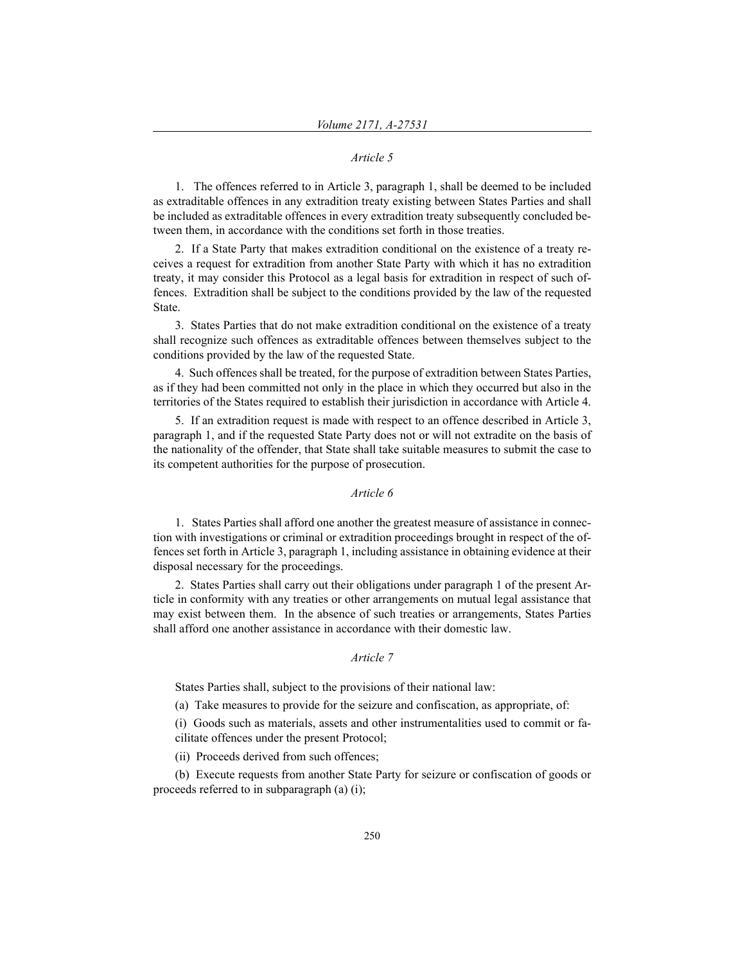#### *Article 5*

1. The offences referred to in Article 3, paragraph 1, shall be deemed to be included as extraditable offences in any extradition treaty existing between States Parties and shall be included as extraditable offences in every extradition treaty subsequently concluded between them, in accordance with the conditions set forth in those treaties.

2. If a State Party that makes extradition conditional on the existence of a treaty receives a request for extradition from another State Party with which it has no extradition treaty, it may consider this Protocol as a legal basis for extradition in respect of such offences. Extradition shall be subject to the conditions provided by the law of the requested State.

3. States Parties that do not make extradition conditional on the existence of a treaty shall recognize such offences as extraditable offences between themselves subject to the conditions provided by the law of the requested State.

4. Such offences shall be treated, for the purpose of extradition between States Parties, as if they had been committed not only in the place in which they occurred but also in the territories of the States required to establish their jurisdiction in accordance with Article 4.

5. If an extradition request is made with respect to an offence described in Article 3, paragraph 1, and if the requested State Party does not or will not extradite on the basis of the nationality of the offender, that State shall take suitable measures to submit the case to its competent authorities for the purpose of prosecution.

# *Article 6*

1. States Parties shall afford one another the greatest measure of assistance in connection with investigations or criminal or extradition proceedings brought in respect of the offences set forth in Article 3, paragraph 1, including assistance in obtaining evidence at their disposal necessary for the proceedings.

2. States Parties shall carry out their obligations under paragraph 1 of the present Article in conformity with any treaties or other arrangements on mutual legal assistance that may exist between them. In the absence of such treaties or arrangements, States Parties shall afford one another assistance in accordance with their domestic law.

# *Article 7*

States Parties shall, subject to the provisions of their national law:

(a) Take measures to provide for the seizure and confiscation, as appropriate, of:

(i) Goods such as materials, assets and other instrumentalities used to commit or facilitate offences under the present Protocol;

(ii) Proceeds derived from such offences;

(b) Execute requests from another State Party for seizure or confiscation of goods or proceeds referred to in subparagraph (a) (i);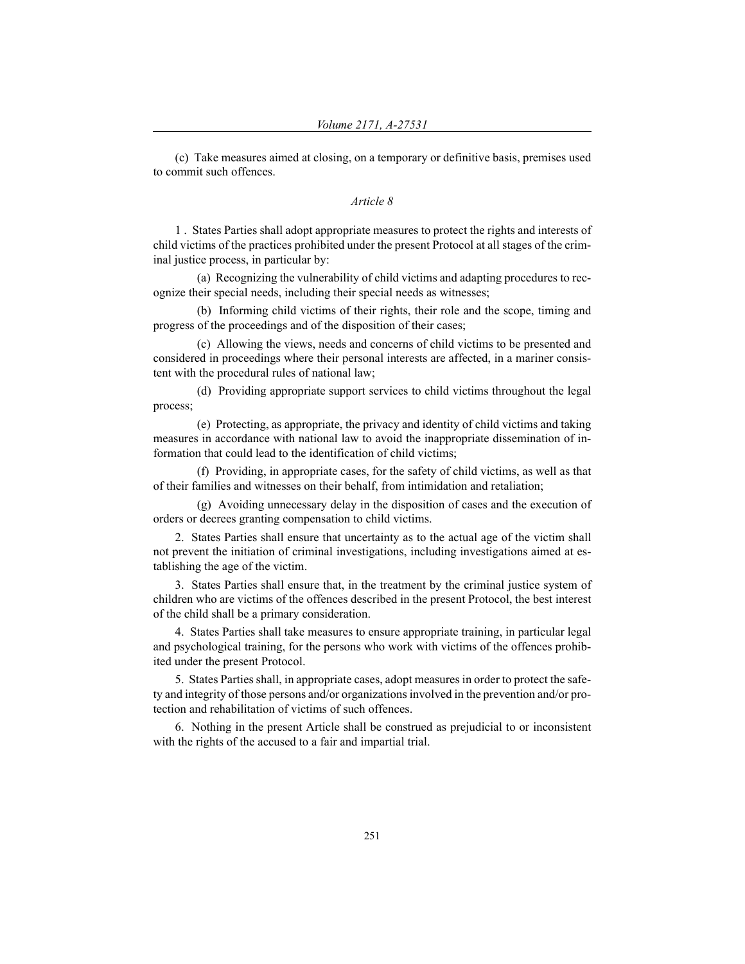(c) Take measures aimed at closing, on a temporary or definitive basis, premises used to commit such offences.

## *Article 8*

1 . States Parties shall adopt appropriate measures to protect the rights and interests of child victims of the practices prohibited under the present Protocol at all stages of the criminal justice process, in particular by:

(a) Recognizing the vulnerability of child victims and adapting procedures to recognize their special needs, including their special needs as witnesses;

(b) Informing child victims of their rights, their role and the scope, timing and progress of the proceedings and of the disposition of their cases;

(c) Allowing the views, needs and concerns of child victims to be presented and considered in proceedings where their personal interests are affected, in a mariner consistent with the procedural rules of national law;

(d) Providing appropriate support services to child victims throughout the legal process;

(e) Protecting, as appropriate, the privacy and identity of child victims and taking measures in accordance with national law to avoid the inappropriate dissemination of information that could lead to the identification of child victims;

(f) Providing, in appropriate cases, for the safety of child victims, as well as that of their families and witnesses on their behalf, from intimidation and retaliation;

(g) Avoiding unnecessary delay in the disposition of cases and the execution of orders or decrees granting compensation to child victims.

2. States Parties shall ensure that uncertainty as to the actual age of the victim shall not prevent the initiation of criminal investigations, including investigations aimed at establishing the age of the victim.

3. States Parties shall ensure that, in the treatment by the criminal justice system of children who are victims of the offences described in the present Protocol, the best interest of the child shall be a primary consideration.

4. States Parties shall take measures to ensure appropriate training, in particular legal and psychological training, for the persons who work with victims of the offences prohibited under the present Protocol.

5. States Parties shall, in appropriate cases, adopt measures in order to protect the safety and integrity of those persons and/or organizations involved in the prevention and/or protection and rehabilitation of victims of such offences.

6. Nothing in the present Article shall be construed as prejudicial to or inconsistent with the rights of the accused to a fair and impartial trial.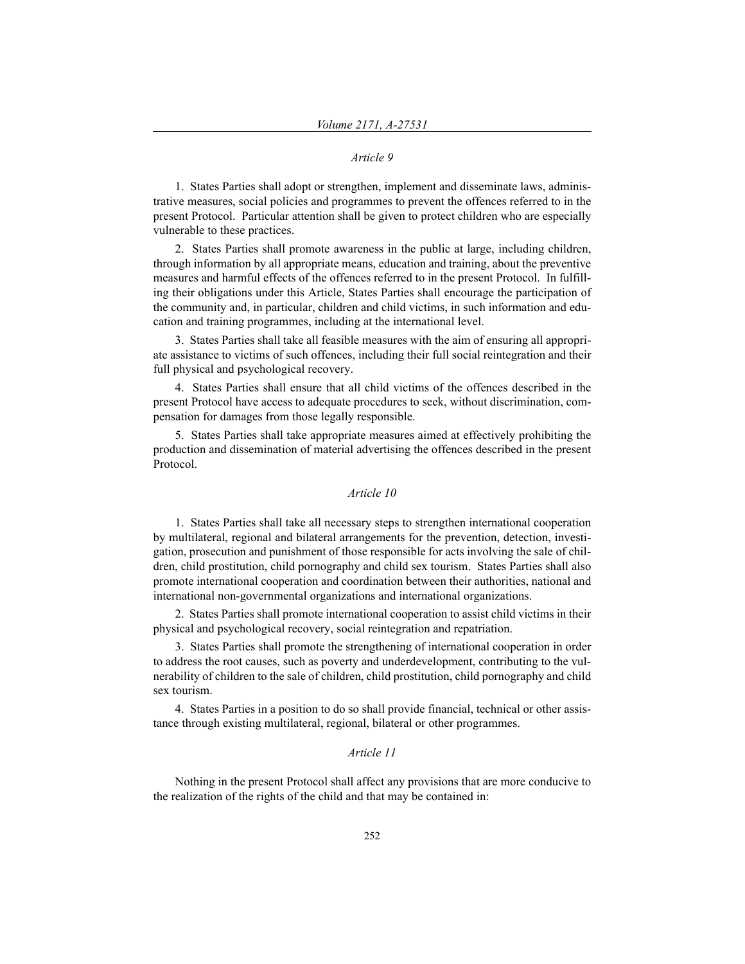#### *Article 9*

1. States Parties shall adopt or strengthen, implement and disseminate laws, administrative measures, social policies and programmes to prevent the offences referred to in the present Protocol. Particular attention shall be given to protect children who are especially vulnerable to these practices.

2. States Parties shall promote awareness in the public at large, including children, through information by all appropriate means, education and training, about the preventive measures and harmful effects of the offences referred to in the present Protocol. In fulfilling their obligations under this Article, States Parties shall encourage the participation of the community and, in particular, children and child victims, in such information and education and training programmes, including at the international level.

3. States Parties shall take all feasible measures with the aim of ensuring all appropriate assistance to victims of such offences, including their full social reintegration and their full physical and psychological recovery.

4. States Parties shall ensure that all child victims of the offences described in the present Protocol have access to adequate procedures to seek, without discrimination, compensation for damages from those legally responsible.

5. States Parties shall take appropriate measures aimed at effectively prohibiting the production and dissemination of material advertising the offences described in the present Protocol.

# *Article 10*

1. States Parties shall take all necessary steps to strengthen international cooperation by multilateral, regional and bilateral arrangements for the prevention, detection, investigation, prosecution and punishment of those responsible for acts involving the sale of children, child prostitution, child pornography and child sex tourism. States Parties shall also promote international cooperation and coordination between their authorities, national and international non-governmental organizations and international organizations.

2. States Parties shall promote international cooperation to assist child victims in their physical and psychological recovery, social reintegration and repatriation.

3. States Parties shall promote the strengthening of international cooperation in order to address the root causes, such as poverty and underdevelopment, contributing to the vulnerability of children to the sale of children, child prostitution, child pornography and child sex tourism.

4. States Parties in a position to do so shall provide financial, technical or other assistance through existing multilateral, regional, bilateral or other programmes.

#### *Article 11*

Nothing in the present Protocol shall affect any provisions that are more conducive to the realization of the rights of the child and that may be contained in: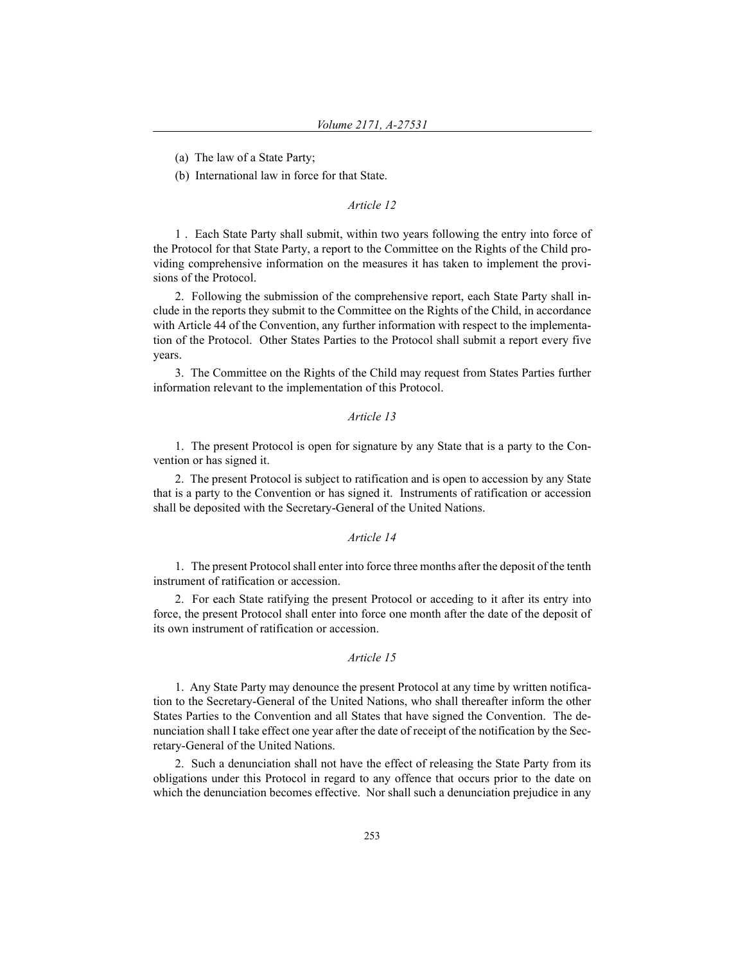(a) The law of a State Party;

(b) International law in force for that State.

### *Article 12*

1 . Each State Party shall submit, within two years following the entry into force of the Protocol for that State Party, a report to the Committee on the Rights of the Child providing comprehensive information on the measures it has taken to implement the provisions of the Protocol.

2. Following the submission of the comprehensive report, each State Party shall include in the reports they submit to the Committee on the Rights of the Child, in accordance with Article 44 of the Convention, any further information with respect to the implementation of the Protocol. Other States Parties to the Protocol shall submit a report every five years.

3. The Committee on the Rights of the Child may request from States Parties further information relevant to the implementation of this Protocol.

### *Article 13*

1. The present Protocol is open for signature by any State that is a party to the Convention or has signed it.

2. The present Protocol is subject to ratification and is open to accession by any State that is a party to the Convention or has signed it. Instruments of ratification or accession shall be deposited with the Secretary-General of the United Nations.

#### *Article 14*

1. The present Protocol shall enter into force three months after the deposit of the tenth instrument of ratification or accession.

2. For each State ratifying the present Protocol or acceding to it after its entry into force, the present Protocol shall enter into force one month after the date of the deposit of its own instrument of ratification or accession.

# *Article 15*

1. Any State Party may denounce the present Protocol at any time by written notification to the Secretary-General of the United Nations, who shall thereafter inform the other States Parties to the Convention and all States that have signed the Convention. The denunciation shall I take effect one year after the date of receipt of the notification by the Secretary-General of the United Nations.

2. Such a denunciation shall not have the effect of releasing the State Party from its obligations under this Protocol in regard to any offence that occurs prior to the date on which the denunciation becomes effective. Nor shall such a denunciation prejudice in any